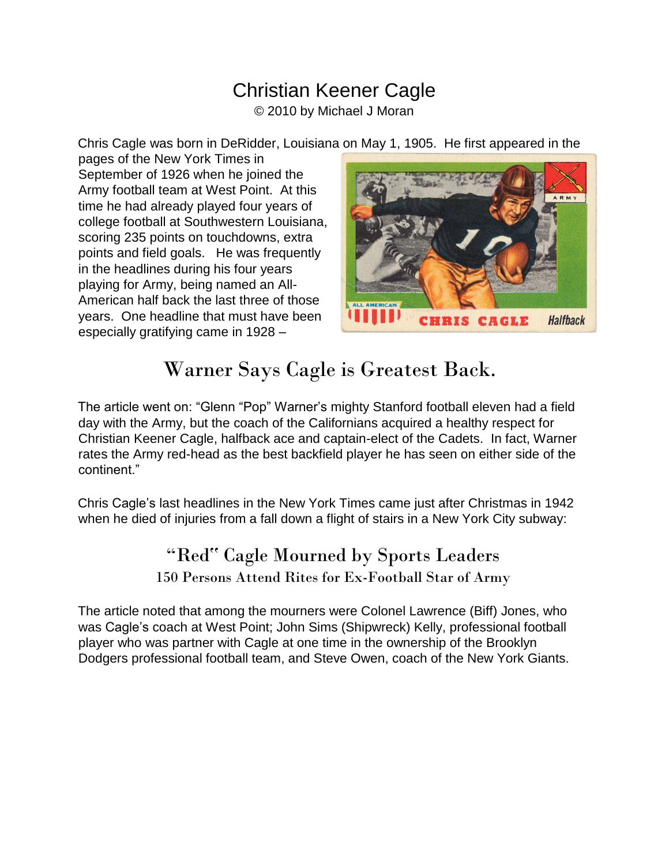## Christian Keener Cagle

© 2010 by Michael J Moran

Chris Cagle was born in DeRidder, Louisiana on May 1, 1905. He first appeared in the

pages of the New York Times in September of 1926 when he joined the Army football team at West Point. At this time he had already played four years of college football at Southwestern Louisiana, scoring 235 points on touchdowns, extra points and field goals. He was frequently in the headlines during his four years playing for Army, being named an All-American half back the last three of those years. One headline that must have been especially gratifying came in 1928 –



## Warner Says Cagle is Greatest Back.

The article went on: "Glenn "Pop" Warner's mighty Stanford football eleven had a field day with the Army, but the coach of the Californians acquired a healthy respect for Christian Keener Cagle, halfback ace and captain-elect of the Cadets. In fact, Warner rates the Army red-head as the best backfield player he has seen on either side of the continent."

Chris Cagle's last headlines in the New York Times came just after Christmas in 1942 when he died of injuries from a fall down a flight of stairs in a New York City subway:

## "Red" Cagle Mourned by Sports Leaders 150 Persons Attend Rites for Ex-Football Star of Army

The article noted that among the mourners were Colonel Lawrence (Biff) Jones, who was Cagle's coach at West Point; John Sims (Shipwreck) Kelly, professional football player who was partner with Cagle at one time in the ownership of the Brooklyn Dodgers professional football team, and Steve Owen, coach of the New York Giants.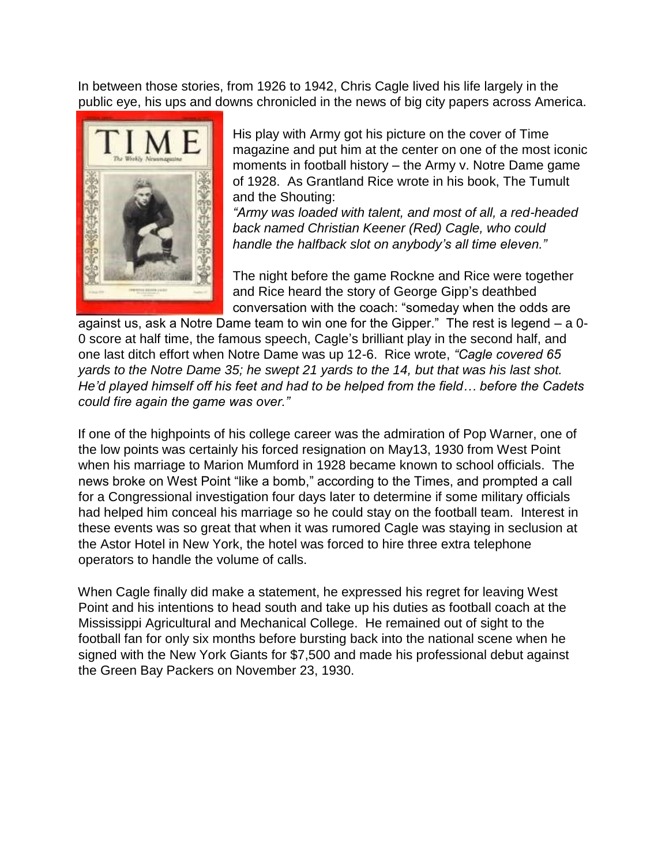In between those stories, from 1926 to 1942, Chris Cagle lived his life largely in the public eye, his ups and downs chronicled in the news of big city papers across America.



His play with Army got his picture on the cover of Time magazine and put him at the center on one of the most iconic moments in football history – the Army v. Notre Dame game of 1928. As Grantland Rice wrote in his book, The Tumult and the Shouting:

*"Army was loaded with talent, and most of all, a red-headed back named Christian Keener (Red) Cagle, who could handle the halfback slot on anybody's all time eleven."* 

The night before the game Rockne and Rice were together and Rice heard the story of George Gipp's deathbed conversation with the coach: "someday when the odds are

against us, ask a Notre Dame team to win one for the Gipper." The rest is legend – a 0- 0 score at half time, the famous speech, Cagle's brilliant play in the second half, and one last ditch effort when Notre Dame was up 12-6. Rice wrote, *"Cagle covered 65 yards to the Notre Dame 35; he swept 21 yards to the 14, but that was his last shot. He'd played himself off his feet and had to be helped from the field… before the Cadets could fire again the game was over."*

If one of the highpoints of his college career was the admiration of Pop Warner, one of the low points was certainly his forced resignation on May13, 1930 from West Point when his marriage to Marion Mumford in 1928 became known to school officials. The news broke on West Point "like a bomb," according to the Times, and prompted a call for a Congressional investigation four days later to determine if some military officials had helped him conceal his marriage so he could stay on the football team. Interest in these events was so great that when it was rumored Cagle was staying in seclusion at the Astor Hotel in New York, the hotel was forced to hire three extra telephone operators to handle the volume of calls.

When Cagle finally did make a statement, he expressed his regret for leaving West Point and his intentions to head south and take up his duties as football coach at the Mississippi Agricultural and Mechanical College. He remained out of sight to the football fan for only six months before bursting back into the national scene when he signed with the New York Giants for \$7,500 and made his professional debut against the Green Bay Packers on November 23, 1930.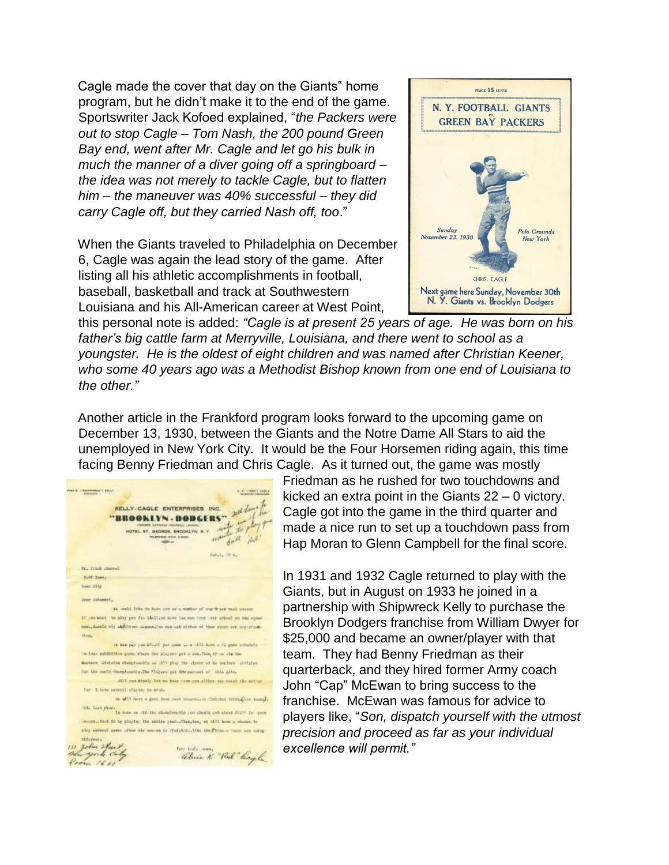Cagle made the cover that day on the Giants" home program, but he didn't make it to the end of the game. Sportswriter Jack Kofoed explained, "*the Packers were out to stop Cagle – Tom Nash, the 200 pound Green Bay end, went after Mr. Cagle and let go his bulk in much the manner of a diver going off a springboard – the idea was not merely to tackle Cagle, but to flatten him – the maneuver was 40% successful – they did carry Cagle off, but they carried Nash off, too*."

When the Giants traveled to Philadelphia on December 6, Cagle was again the lead story of the game. After listing all his athletic accomplishments in football, baseball, basketball and track at Southwestern Louisiana and his All-American career at West Point,



this personal note is added: *"Cagle is at present 25 years of age. He was born on his father's big cattle farm at Merryville, Louisiana, and there went to school as a youngster. He is the oldest of eight children and was named after Christian Keener, who some 40 years ago was a Methodist Bishop known from one end of Louisiana to the other."* 

Another article in the Frankford program looks forward to the upcoming game on December 13, 1930, between the Giants and the Notre Dame All Stars to aid the unemployed in New York City. It would be the Four Horsemen riding again, this time facing Benny Friedman and Chris Cagle. As it turned out, the game was mostly

**PREAL ENSURANCE PRO EROOKLYN-DODGERS** KELLY-CAGLE ENTERPRISES INC. 主石! HOTEL ST, GEORGE BROOKLYN, N.Y. NOT fill just 20525-0854 **Br.** Frank Shares? **NATIONS** Jons Sty Jeer istuantly as weld like to have you as a matter of our weak mut now If served to play pro for the link has not the norther and attend on the square resultants -by desirer manufactor me we atther of the stort are experimethin. in me pay you \$5.20 per gam sale offit have a 52 gam out be free estimation game where the physic get a retailing  $\mathbf{f}^{\mathbf{r}}$  as dis the moters, abstates showtening or 1877 play the classe of he content attric for the notic chambonization Chrono put the percent of this pate. offit you stindly fee on four from you affilier and about the se rer I fore present chance in wintas all here a good host sout single-are finished introlation sample. The last  $f^{\rm max}$  . In now on the the energy<br>lengths yes absult get about  $172\%$  in , were the start<br>  $100\%$ monthlist is by phylic the entire pair. Dan, too, or still have a chance to and several game ofter the secon is (initelest...) The trafficients have are oning 111 John Auch<br>Alm york Caly<br>Prom 1641 Chun K " Rul" Cagh

Friedman as he rushed for two touchdowns and kicked an extra point in the Giants 22 – 0 victory. Cagle got into the game in the third quarter and made a nice run to set up a touchdown pass from Hap Moran to Glenn Campbell for the final score.

In 1931 and 1932 Cagle returned to play with the Giants, but in August on 1933 he joined in a partnership with Shipwreck Kelly to purchase the Brooklyn Dodgers franchise from William Dwyer for \$25,000 and became an owner/player with that team. They had Benny Friedman as their quarterback, and they hired former Army coach John "Cap" McEwan to bring success to the franchise. McEwan was famous for advice to players like, "*Son, dispatch yourself with the utmost precision and proceed as far as your individual excellence will permit."*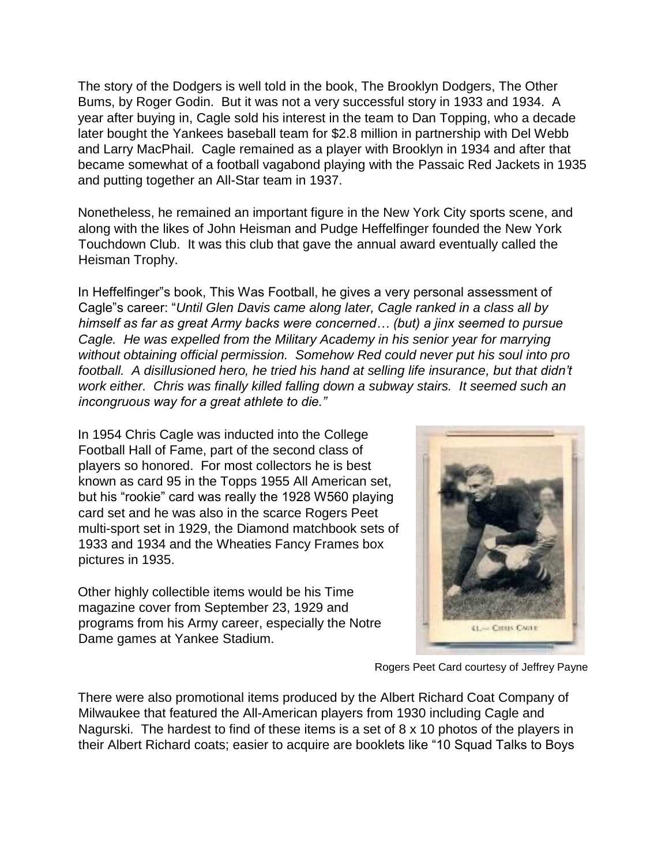The story of the Dodgers is well told in the book, The Brooklyn Dodgers, The Other Bums, by Roger Godin. But it was not a very successful story in 1933 and 1934. A year after buying in, Cagle sold his interest in the team to Dan Topping, who a decade later bought the Yankees baseball team for \$2.8 million in partnership with Del Webb and Larry MacPhail. Cagle remained as a player with Brooklyn in 1934 and after that became somewhat of a football vagabond playing with the Passaic Red Jackets in 1935 and putting together an All-Star team in 1937.

Nonetheless, he remained an important figure in the New York City sports scene, and along with the likes of John Heisman and Pudge Heffelfinger founded the New York Touchdown Club. It was this club that gave the annual award eventually called the Heisman Trophy.

In Heffelfinger"s book, This Was Football, he gives a very personal assessment of Cagle"s career: "*Until Glen Davis came along later, Cagle ranked in a class all by himself as far as great Army backs were concerned… (but) a jinx seemed to pursue Cagle. He was expelled from the Military Academy in his senior year for marrying without obtaining official permission. Somehow Red could never put his soul into pro football. A disillusioned hero, he tried his hand at selling life insurance, but that didn't work either. Chris was finally killed falling down a subway stairs. It seemed such an incongruous way for a great athlete to die."*

In 1954 Chris Cagle was inducted into the College Football Hall of Fame, part of the second class of players so honored. For most collectors he is best known as card 95 in the Topps 1955 All American set, but his "rookie" card was really the 1928 W560 playing card set and he was also in the scarce Rogers Peet multi-sport set in 1929, the Diamond matchbook sets of 1933 and 1934 and the Wheaties Fancy Frames box pictures in 1935.

Other highly collectible items would be his Time magazine cover from September 23, 1929 and programs from his Army career, especially the Notre Dame games at Yankee Stadium.



Rogers Peet Card courtesy of Jeffrey Payne

There were also promotional items produced by the Albert Richard Coat Company of Milwaukee that featured the All-American players from 1930 including Cagle and Nagurski. The hardest to find of these items is a set of 8 x 10 photos of the players in their Albert Richard coats; easier to acquire are booklets like "10 Squad Talks to Boys